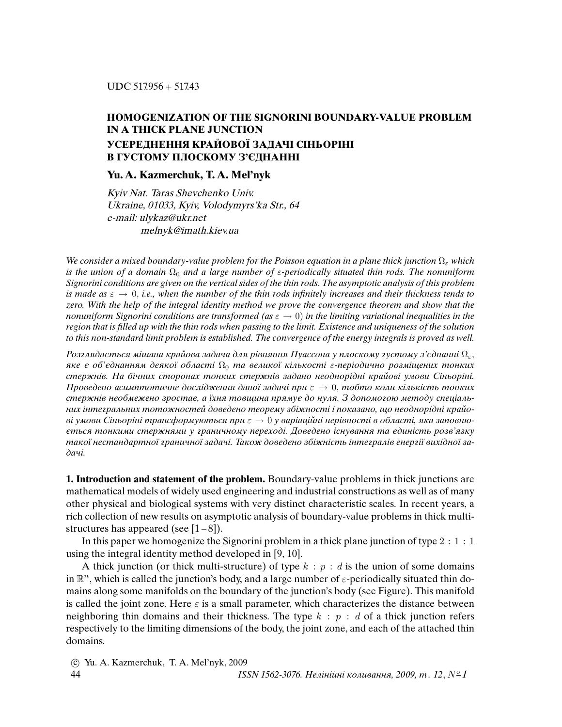## **HOMOGENIZATION OF THE SIGNORINI BOUNDARY-VALUE PROBLEM IN A THICK PLANE JUNCTION УСЕРЕДНЕННЯ КРАЙОВОЇ ЗАДАЧI СIНЬОРIНI В ГУСТОМУ ПЛОСКОМУ З'ЄДНАННI**

## **Yu. A. Kazmerchuk, T. A. Mel'nyk**

Kyiv Nat. Taras Shevchenko Univ. Ukraine, 01033, Kyiv, Volodymyrs'ka Str., 64 e-mail: ulykaz@ukr.net melnyk@imath.kiev.ua

We consider a mixed boundary-value problem for the Poisson equation in a plane thick junction  $\Omega_{\varepsilon}$  which is the union of a domain  $\Omega_0$  and a large number of  $\varepsilon$ -periodically situated thin rods. The nonuniform Signorini conditions are given on the vertical sides of the thin rods. The asymptotic analysis of this problem is made as  $\varepsilon \to 0$ , i.e., when the number of the thin rods infinitely increases and their thickness tends to zero. With the help of the integral identity method we prove the convergence theorem and show that the nonuniform Signorini conditions are transformed (as  $\varepsilon \to 0$ ) in the limiting variational inequalities in the region that is *fi*lled up with the thin rods when passing to the limit. Existence and uniqueness of the solution to this non-standard limit problem is established. The convergence of the energy integrals is proved as well.

Розглядається мішана крайова задача для рівняння Пуассона у плоскому густому з'єднанні  $\Omega_{\varepsilon}$ , яке є об'єднанням деякої області  $\Omega_0$  та великої кількості ε-періодично розміщених тонких стержнiв. На бiчних сторонах тонких стержнiв задано неоднорiднi крайовi умови Сiньорiнi. Проведено асимптотичне дослідження даної задачі при  $\varepsilon \to 0$ , тобто коли кількість тонких стержнiв необмежено зростає, а їхня товщина прямує до нуля. З допомогою методу спецiальних iнтегральних тотожностей доведено теорему збiжностi i показано, що неоднорiднi крайові умови Сіньоріні трансформуються при  $\varepsilon \to 0$  у варіаційні нерівності в області, яка заповнюється тонкими стержнями у граничному переходi. Доведено iснування та єдинiсть розв'язку такої нестандартної граничної задачi. Також доведено збiжнiсть iнтегралiв енергiї вихiдної задачi.

**1. Introduction and statement of the problem.** Boundary-value problems in thick junctions are mathematical models of widely used engineering and industrial constructions as well as of many other physical and biological systems with very distinct characteristic scales. In recent years, a rich collection of new results on asymptotic analysis of boundary-value problems in thick multistructures has appeared (see  $[1-8]$ ).

In this paper we homogenize the Signorini problem in a thick plane junction of type 2 : 1 : 1 using the integral identity method developed in [9, 10].

A thick junction (or thick multi-structure) of type  $k : p : d$  is the union of some domains in  $\mathbb{R}^n$ , which is called the junction's body, and a large number of  $\varepsilon$ -periodically situated thin domains along some manifolds on the boundary of the junction's body (see Figure). This manifold is called the joint zone. Here  $\varepsilon$  is a small parameter, which characterizes the distance between neighboring thin domains and their thickness. The type  $k : p : d$  of a thick junction refers respectively to the limiting dimensions of the body, the joint zone, and each of the attached thin domains.

c Yu. A. Kazmerchuk, T. A. Mel'nyk, 2009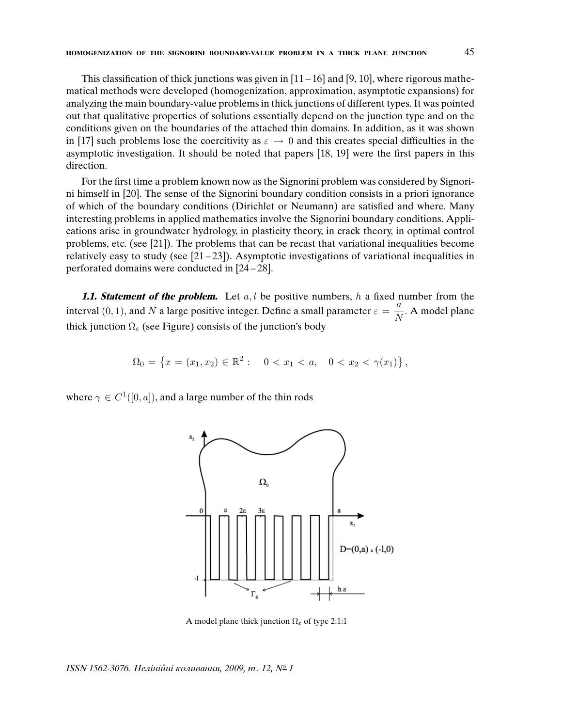This classification of thick junctions was given in  $[11 - 16]$  and  $[9, 10]$ , where rigorous mathematical methods were developed (homogenization, approximation, asymptotic expansions) for analyzing the main boundary-value problems in thick junctions of different types. It was pointed out that qualitative properties of solutions essentially depend on the junction type and on the conditions given on the boundaries of the attached thin domains. In addition, as it was shown in [17] such problems lose the coercitivity as  $\varepsilon \to 0$  and this creates special difficulties in the asymptotic investigation. It should be noted that papers [18, 19] were the first papers in this direction.

For the first time a problem known now as the Signorini problem was considered by Signorini himself in [20]. The sense of the Signorini boundary condition consists in a priori ignorance of which of the boundary conditions (Dirichlet or Neumann) are satisfied and where. Many interesting problems in applied mathematics involve the Signorini boundary conditions. Applications arise in groundwater hydrology, in plasticity theory, in crack theory, in optimal control problems, etc. (see [21]). The problems that can be recast that variational inequalities become relatively easy to study (see  $[21-23]$ ). Asymptotic investigations of variational inequalities in perforated domains were conducted in [24 – 28].

**1.1. Statement of the problem.** Let  $a, l$  be positive numbers,  $h$  a fixed number from the interval  $(0, 1)$ , and N a large positive integer. Define a small parameter  $\varepsilon = \frac{a}{\lambda}$  $\frac{\infty}{N}$ . A model plane thick junction  $\Omega_{\varepsilon}$  (see Figure) consists of the junction's body

$$
\Omega_0 = \left\{ x = (x_1, x_2) \in \mathbb{R}^2 : \quad 0 < x_1 < a, \quad 0 < x_2 < \gamma(x_1) \right\},
$$

where  $\gamma \in C^1([0, a]),$  and a large number of the thin rods



A model plane thick junction  $\Omega_{\varepsilon}$  of type 2:1:1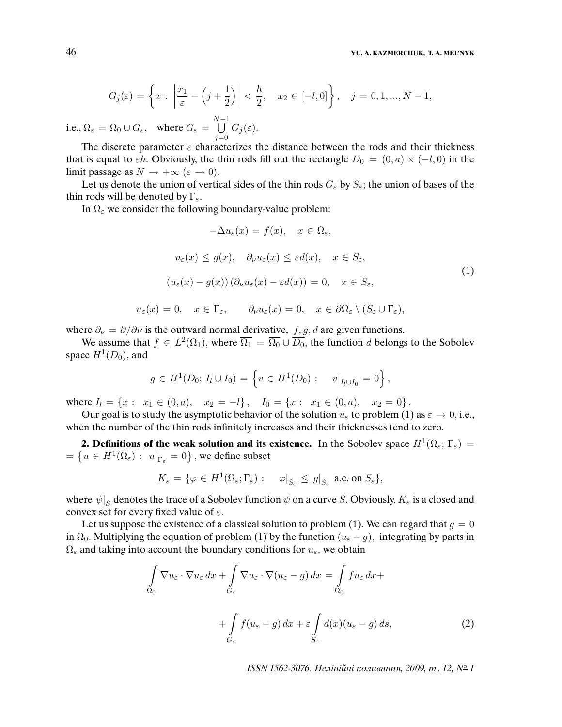$$
G_j(\varepsilon) = \left\{ x : \left| \frac{x_1}{\varepsilon} - \left( j + \frac{1}{2} \right) \right| < \frac{h}{2}, \quad x_2 \in [-l, 0] \right\}, \quad j = 0, 1, \dots, N - 1,
$$

i.e.,  $\Omega_{\varepsilon} = \Omega_0 \cup G_{\varepsilon}$ , where  $G_{\varepsilon} = \bigcup^{N-1}$  $j=0$  $G_j(\varepsilon)$ .

The discrete parameter  $\varepsilon$  characterizes the distance between the rods and their thickness that is equal to  $\varepsilon h$ . Obviously, the thin rods fill out the rectangle  $D_0 = (0, a) \times (-l, 0)$  in the limit passage as  $N \to +\infty$  ( $\varepsilon \to 0$ ).

Let us denote the union of vertical sides of the thin rods  $G_{\varepsilon}$  by  $S_{\varepsilon}$ ; the union of bases of the thin rods will be denoted by  $\Gamma_{\varepsilon}$ .

In  $\Omega_{\varepsilon}$  we consider the following boundary-value problem:

$$
-\Delta u_{\varepsilon}(x) = f(x), \quad x \in \Omega_{\varepsilon},
$$
  

$$
u_{\varepsilon}(x) \le g(x), \quad \partial_{\nu}u_{\varepsilon}(x) \le \varepsilon d(x), \quad x \in S_{\varepsilon},
$$
  

$$
(u_{\varepsilon}(x) - g(x)) (\partial_{\nu}u_{\varepsilon}(x) - \varepsilon d(x)) = 0, \quad x \in S_{\varepsilon},
$$
  

$$
u_{\varepsilon}(x) = 0, \quad x \in \Gamma_{\varepsilon}, \qquad \partial_{\nu}u_{\varepsilon}(x) = 0, \quad x \in \partial\Omega_{\varepsilon} \setminus (S_{\varepsilon} \cup \Gamma_{\varepsilon}),
$$
 (1)

where  $\partial_{\nu} = \partial/\partial \nu$  is the outward normal derivative, f, g, d are given functions. We assume that  $f \in L^2(\Omega_1)$ , where  $\overline{\Omega_1} = \overline{\Omega_0} \cup \overline{D_0}$ , the function d belongs to the Sobolev space  $H^1(D_0)$ , and

$$
g \in H^1(D_0; I_l \cup I_0) = \left\{ v \in H^1(D_0) : \quad v|_{I_l \cup I_0} = 0 \right\},\
$$

where  $I_1 = \{x : x_1 \in (0, a), x_2 = -l\}, I_0 = \{x : x_1 \in (0, a), x_2 = 0\}.$ 

Our goal is to study the asymptotic behavior of the solution  $u_{\varepsilon}$  to problem (1) as  $\varepsilon \to 0$ , i.e., when the number of the thin rods infinitely increases and their thicknesses tend to zero.

**2. Definitions of the weak solution and its existence.** In the Sobolev space  $H^1(\Omega_\varepsilon; \Gamma_\varepsilon) =$  $=\left\{u\in H^1(\Omega_\varepsilon):\,\,u|_{\Gamma_\varepsilon}=0\right\},$  we define subset

$$
K_{\varepsilon} = \{ \varphi \in H^1(\Omega_{\varepsilon}; \Gamma_{\varepsilon}) : \varphi|_{S_{\varepsilon}} \le g|_{S_{\varepsilon}} \text{ a.e. on } S_{\varepsilon} \},
$$

where  $\left. \psi \right|_S$  denotes the trace of a Sobolev function  $\psi$  on a curve  $S.$  Obviously,  $K_\varepsilon$  is a closed and convex set for every fixed value of  $\varepsilon$ .

Let us suppose the existence of a classical solution to problem (1). We can regard that  $g = 0$ in  $\Omega_0$ . Multiplying the equation of problem (1) by the function ( $u_{\varepsilon} - g$ ), integrating by parts in  $\Omega_{\varepsilon}$  and taking into account the boundary conditions for  $u_{\varepsilon}$ , we obtain

$$
\int_{\Omega_0} \nabla u_{\varepsilon} \cdot \nabla u_{\varepsilon} dx + \int_{G_{\varepsilon}} \nabla u_{\varepsilon} \cdot \nabla (u_{\varepsilon} - g) dx = \int_{\Omega_0} f u_{\varepsilon} dx + \n+ \int_{G_{\varepsilon}} f (u_{\varepsilon} - g) dx + \varepsilon \int_{S_{\varepsilon}} d(x) (u_{\varepsilon} - g) ds,
$$
\n(2)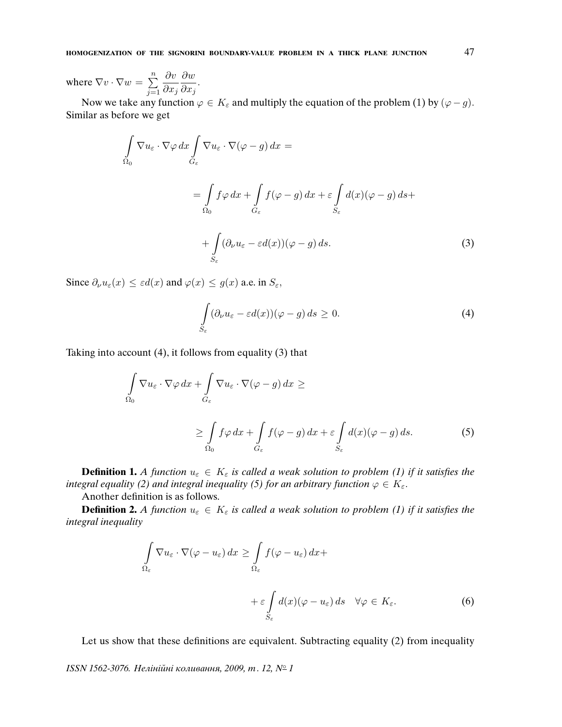Now we take any function  $\varphi \in K_{\varepsilon}$  and multiply the equation of the problem (1) by  $(\varphi - g)$ . Similar as before we get

$$
\int_{\Omega_0} \nabla u_{\varepsilon} \cdot \nabla \varphi \, dx \int_{G_{\varepsilon}} \nabla u_{\varepsilon} \cdot \nabla (\varphi - g) \, dx =
$$
\n
$$
= \int_{\Omega_0} f \varphi \, dx + \int_{G_{\varepsilon}} f(\varphi - g) \, dx + \varepsilon \int_{S_{\varepsilon}} d(x) (\varphi - g) \, ds +
$$
\n
$$
+ \int_{S_{\varepsilon}} (\partial_{\nu} u_{\varepsilon} - \varepsilon d(x)) (\varphi - g) \, ds. \tag{3}
$$

Since  $\partial_{\nu}u_{\varepsilon}(x) \leq \varepsilon d(x)$  and  $\varphi(x) \leq g(x)$  a.e. in  $S_{\varepsilon}$ ,

$$
\int_{S_{\varepsilon}} (\partial_{\nu} u_{\varepsilon} - \varepsilon d(x)) (\varphi - g) ds \ge 0.
$$
\n(4)

Taking into account (4), it follows from equality (3) that

$$
\int_{\Omega_0} \nabla u_{\varepsilon} \cdot \nabla \varphi \, dx + \int_{G_{\varepsilon}} \nabla u_{\varepsilon} \cdot \nabla (\varphi - g) \, dx \ge
$$
\n
$$
\ge \int_{\Omega_0} f \varphi \, dx + \int_{G_{\varepsilon}} f(\varphi - g) \, dx + \varepsilon \int_{S_{\varepsilon}} d(x) (\varphi - g) \, ds. \tag{5}
$$

**Definition 1.** A function  $u_{\varepsilon} \in K_{\varepsilon}$  is called a weak solution to problem (1) if it satisfies the integral equality (2) and integral inequality (5) for an arbitrary function  $\varphi \in K_{\varepsilon}$ .

Another definition is as follows.

**Definition 2.** A function  $u_{\varepsilon} \in K_{\varepsilon}$  is called a weak solution to problem (1) if it satisfies the integral inequality

$$
\int_{\Omega_{\varepsilon}} \nabla u_{\varepsilon} \cdot \nabla (\varphi - u_{\varepsilon}) dx \ge \int_{\Omega_{\varepsilon}} f(\varphi - u_{\varepsilon}) dx + \varepsilon \int_{S_{\varepsilon}} d(x) (\varphi - u_{\varepsilon}) ds \quad \forall \varphi \in K_{\varepsilon}.
$$
\n(6)

Let us show that these definitions are equivalent. Subtracting equality (2) from inequality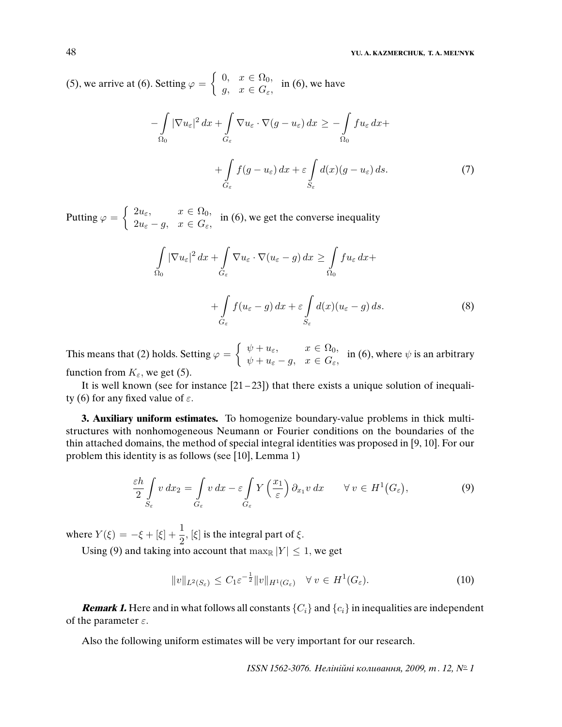(5), we arrive at (6). Setting  $\varphi = \begin{cases} 0, & x \in \Omega_0, \\ 0, & x \in \Omega \end{cases}$  $g, \quad x \in G_{\varepsilon}, \quad \text{in (6), we have}$ 

$$
-\int_{\Omega_0} |\nabla u_{\varepsilon}|^2 dx + \int_{G_{\varepsilon}} \nabla u_{\varepsilon} \cdot \nabla (g - u_{\varepsilon}) dx \ge -\int_{\Omega_0} f u_{\varepsilon} dx +
$$

$$
+ \int_{G_{\varepsilon}} f(g - u_{\varepsilon}) dx + \varepsilon \int_{S_{\varepsilon}} d(x) (g - u_{\varepsilon}) ds. \tag{7}
$$

Putting  $\varphi = \begin{cases} 2u_{\varepsilon}, & x \in \Omega_0, \\ 2u_{\varepsilon}, & x \in \Omega_0, \end{cases}$  $2u_{\varepsilon}$ ,  $x \in G_{\varepsilon}$ ,  $x \in G_{\varepsilon}$ ,  $x \in G_{\varepsilon}$ ,  $x \in G_{\varepsilon}$ ,  $x \in G_{\varepsilon}$ ,  $x \in G_{\varepsilon}$ ,  $x \in G_{\varepsilon}$ ,  $x \in G_{\varepsilon}$ ,  $x \in G_{\varepsilon}$ ,  $x \in G_{\varepsilon}$ ,  $x \in G_{\varepsilon}$ ,  $x \in G_{\varepsilon}$ ,  $x \in G_{\varepsilon}$ ,  $x \in G_{\varepsilon}$ ,  $x \in G_{\varepsilon}$ ,

$$
\int_{\Omega_0} |\nabla u_{\varepsilon}|^2 dx + \int_{G_{\varepsilon}} \nabla u_{\varepsilon} \cdot \nabla (u_{\varepsilon} - g) dx \ge \int_{\Omega_0} f u_{\varepsilon} dx +
$$
\n
$$
+ \int_{G_{\varepsilon}} f (u_{\varepsilon} - g) dx + \varepsilon \int_{S_{\varepsilon}} d(x) (u_{\varepsilon} - g) ds. \tag{8}
$$

This means that (2) holds. Setting  $\varphi = \begin{cases} \psi + u_{\varepsilon}, & x \in \Omega_0, \\ u_{\varepsilon} + u_{\varepsilon}, & x \in \Omega_0, \end{cases}$  $\psi + u_{\varepsilon},$   $x \in \mathcal{C}_{\varepsilon},$  in (6), where  $\psi$  is an arbitrary function from  $K_{\varepsilon}$ , we get (5).

It is well known (see for instance  $[21-23]$ ) that there exists a unique solution of inequality (6) for any fixed value of  $\varepsilon$ .

**3. Auxiliary uniform estimates.** To homogenize boundary-value problems in thick multistructures with nonhomogeneous Neumann or Fourier conditions on the boundaries of the thin attached domains, the method of special integral identities was proposed in [9, 10]. For our problem this identity is as follows (see [10], Lemma 1)

$$
\frac{\varepsilon h}{2} \int\limits_{S_{\varepsilon}} v \, dx_2 = \int\limits_{G_{\varepsilon}} v \, dx - \varepsilon \int\limits_{G_{\varepsilon}} Y\left(\frac{x_1}{\varepsilon}\right) \partial_{x_1} v \, dx \qquad \forall \, v \in H^1(G_{\varepsilon}), \tag{9}
$$

where  $Y(\xi) = -\xi + [\xi] + \frac{1}{2}$ ,  $[\xi]$  is the integral part of  $\xi$ .

Using (9) and taking into account that  $\max_{\mathbb{R}} |Y| \leq 1$ , we get

$$
||v||_{L^{2}(S_{\varepsilon})} \leq C_{1} \varepsilon^{-\frac{1}{2}} ||v||_{H^{1}(G_{\varepsilon})} \quad \forall \ v \in H^{1}(G_{\varepsilon}). \tag{10}
$$

**Remark 1.** Here and in what follows all constants  $\{C_i\}$  and  $\{c_i\}$  in inequalities are independent of the parameter  $\varepsilon$ .

Also the following uniform estimates will be very important for our research.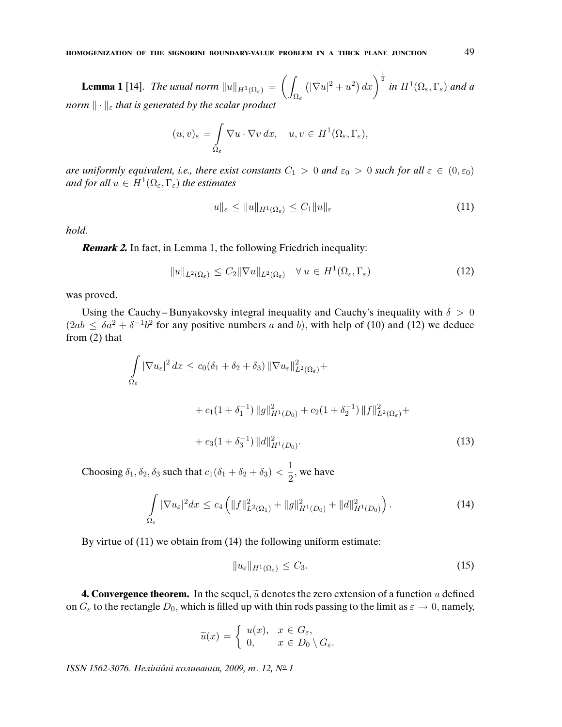**Lemma 1** [14]. *The usual norm*  $||u||_{H^1(\Omega_{\varepsilon})} = \left(\right)$  $Ω_ε$  $(|\nabla u|^2 + u^2) dx$   $\int_{0}^{\frac{1}{2}}$  in  $H^1(\Omega_{\varepsilon}, \Gamma_{\varepsilon})$  and a norm  $\|\cdot\|_{\varepsilon}$  that is generated by the scalar product

$$
(u,v)_{\varepsilon} = \int\limits_{\Omega_{\varepsilon}} \nabla u \cdot \nabla v \, dx, \quad u,v \in H^1(\Omega_{\varepsilon},\Gamma_{\varepsilon}),
$$

are uniformly equivalent, i.e., there exist constants  $C_1 > 0$  and  $\varepsilon_0 > 0$  such for all  $\varepsilon \in (0, \varepsilon_0)$ and for all  $u \in H^1(\Omega_\varepsilon, \Gamma_\varepsilon)$  the estimates

$$
||u||_{\varepsilon} \le ||u||_{H^1(\Omega_{\varepsilon})} \le C_1 ||u||_{\varepsilon} \tag{11}
$$

hold.

**Remark 2.** In fact, in Lemma 1, the following Friedrich inequality:

$$
||u||_{L^{2}(\Omega_{\varepsilon})} \leq C_{2} ||\nabla u||_{L^{2}(\Omega_{\varepsilon})} \quad \forall u \in H^{1}(\Omega_{\varepsilon}, \Gamma_{\varepsilon})
$$
\n(12)

was proved.

Using the Cauchy – Bunyakovsky integral inequality and Cauchy's inequality with  $\delta > 0$  $(2ab \leq \delta a^2 + \delta^{-1}b^2$  for any positive numbers a and b), with help of (10) and (12) we deduce from (2) that

$$
\int_{\Omega_{\varepsilon}} |\nabla u_{\varepsilon}|^2 dx \le c_0 (\delta_1 + \delta_2 + \delta_3) \|\nabla u_{\varepsilon}\|_{L^2(\Omega_{\varepsilon})}^2 + \n+ c_1 (1 + \delta_1^{-1}) \|g\|_{H^1(D_0)}^2 + c_2 (1 + \delta_2^{-1}) \|f\|_{L^2(\Omega_{\varepsilon})}^2 + \n+ c_3 (1 + \delta_3^{-1}) \|d\|_{H^1(D_0)}^2.
$$
\n(13)

Choosing  $\delta_1, \delta_2, \delta_3$  such that  $c_1(\delta_1 + \delta_2 + \delta_3) < \frac{1}{2}$  $\frac{1}{2}$ , we have

$$
\int_{\Omega_{\varepsilon}} |\nabla u_{\varepsilon}|^2 dx \le c_4 \left( \|f\|_{L^2(\Omega_1)}^2 + \|g\|_{H^1(D_0)}^2 + \|d\|_{H^1(D_0)}^2 \right). \tag{14}
$$

By virtue of (11) we obtain from (14) the following uniform estimate:

$$
||u_{\varepsilon}||_{H^1(\Omega_{\varepsilon})} \leq C_3. \tag{15}
$$

**4. Convergence theorem.** In the sequel,  $\tilde{u}$  denotes the zero extension of a function u defined on  $G_{\varepsilon}$  to the rectangle  $D_0$ , which is filled up with thin rods passing to the limit as  $\varepsilon \to 0$ , namely,

$$
\widetilde{u}(x) = \begin{cases} u(x), & x \in G_{\varepsilon}, \\ 0, & x \in D_0 \setminus G_{\varepsilon}. \end{cases}
$$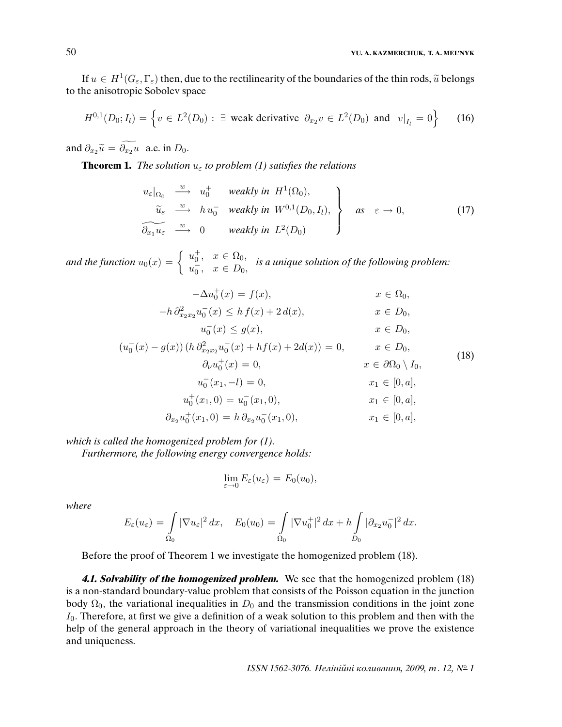If  $u \in H^1(G_\varepsilon, \Gamma_\varepsilon)$  then, due to the rectilinearity of the boundaries of the thin rods,  $\widetilde{u}$  belongs<br>be anisotropic Sobolay space to the anisotropic Sobolev space

$$
H^{0,1}(D_0; I_l) = \left\{ v \in L^2(D_0) : \exists \text{ weak derivative } \partial_{x_2} v \in L^2(D_0) \text{ and } v|_{I_l} = 0 \right\}
$$
 (16)

and  $\partial_{x_2}\tilde{u}=\widetilde{\partial_{x_2}u}$  a.e. in  $D_0$ .

**Theorem 1.** The solution  $u_{\varepsilon}$  to problem (1) satisfies the relations

$$
\begin{array}{ccc}\n u_{\varepsilon}|_{\Omega_0} & \xrightarrow{w} & u_0^+ & weakly \text{ in } H^1(\Omega_0), \\
 \widetilde{u}_{\varepsilon} & \xrightarrow{w} & h \, u_0^- & weakly \text{ in } W^{0,1}(D_0, I_l), \\
 \widetilde{\partial_{x_1} u_{\varepsilon}} & \xrightarrow{w} & 0 & weakly \text{ in } L^2(D_0)\n \end{array}\n \quad \text{(17)}
$$

and the function  $u_0(x) = \begin{cases} u_0^+, & x \in \Omega_0, \\ u_0^-, & x \in \Omega_0, \end{cases}$  $u_0^0$ ,  $x \in u_0^0$ , is a unique solution of the following problem:

$$
-\Delta u_0^+(x) = f(x), \t x \in \Omega_0,
$$
  
\n
$$
-h \partial_{x_2x_2}^2 u_0^-(x) \le h f(x) + 2 d(x), \t x \in D_0,
$$
  
\n
$$
u_0^-(x) \le g(x), \t x \in D_0,
$$
  
\n
$$
(u_0^-(x) - g(x)) (h \partial_{x_2x_2}^2 u_0^-(x) + h f(x) + 2 d(x)) = 0, \t x \in D_0,
$$
  
\n
$$
\partial_{\nu} u_0^+(x) = 0, \t x \in \partial \Omega_0 \setminus I_0,
$$
  
\n
$$
u_0^-(x_1, -l) = 0, \t x_1 \in [0, a],
$$
  
\n
$$
u_0^+(x_1, 0) = u_0^-(x_1, 0), \t x_1 \in [0, a],
$$
  
\n
$$
\partial_{x_2} u_0^+(x_1, 0) = h \partial_{x_2} u_0^-(x_1, 0), \t x_1 \in [0, a],
$$
  
\n
$$
x_1 \in [0, a],
$$

which is called the homogenized problem for  $(1)$ .

Furthermore, the following energy convergence holds:

$$
\lim_{\varepsilon \to 0} E_{\varepsilon}(u_{\varepsilon}) = E_0(u_0),
$$

where

$$
E_{\varepsilon}(u_{\varepsilon}) = \int_{\Omega_0} |\nabla u_{\varepsilon}|^2 dx, \quad E_0(u_0) = \int_{\Omega_0} |\nabla u_0^+|^2 dx + h \int_{D_0} |\partial_{x_2} u_0^-|^2 dx.
$$

Before the proof of Theorem 1 we investigate the homogenized problem (18).

**4.1. Solvability of the homogenized problem.** We see that the homogenized problem (18) is a non-standard boundary-value problem that consists of the Poisson equation in the junction body  $\Omega_0$ , the variational inequalities in  $D_0$  and the transmission conditions in the joint zone  $I_0$ . Therefore, at first we give a definition of a weak solution to this problem and then with the help of the general approach in the theory of variational inequalities we prove the existence and uniqueness.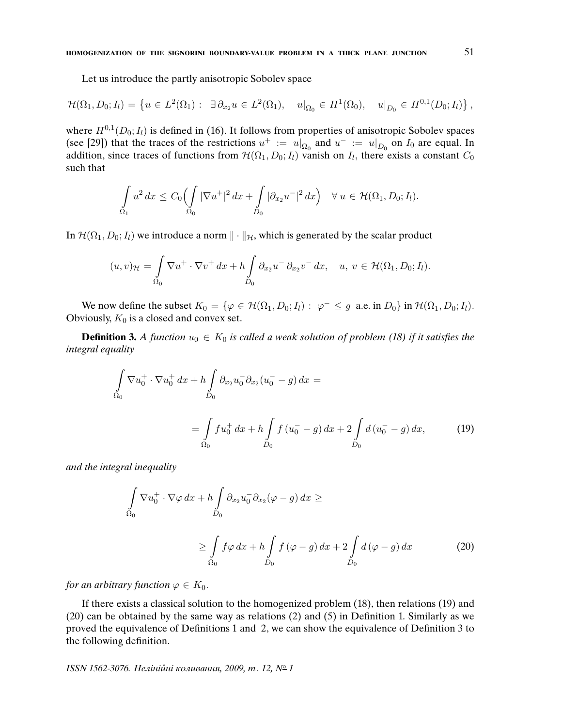Let us introduce the partly anisotropic Sobolev space

$$
\mathcal{H}(\Omega_1, D_0; I_l) = \left\{ u \in L^2(\Omega_1) : \ \exists \partial_{x_2} u \in L^2(\Omega_1), \quad u|_{\Omega_0} \in H^1(\Omega_0), \quad u|_{D_0} \in H^{0,1}(D_0; I_l) \right\},
$$

where  $H^{0,1}(D_0; I_l)$  is defined in (16). It follows from properties of anisotropic Sobolev spaces (see [29]) that the traces of the restrictions  $u^+ := u|_{\Omega_0}$  and  $u^- := u|_{D_0}$  on  $I_0$  are equal. In addition, since traces of functions from  $\mathcal{H}(\Omega_1, D_0; I_l)$  vanish on  $I_l$ , there exists a constant  $C_0$ such that

$$
\int_{\Omega_1} u^2 dx \leq C_0 \Bigl( \int_{\Omega_0} |\nabla u^+|^2 dx + \int_{D_0} |\partial_{x_2} u^-|^2 dx \Bigr) \quad \forall u \in \mathcal{H}(\Omega_1, D_0; I_l).
$$

In  $\mathcal{H}(\Omega_1, D_0; I_l)$  we introduce a norm  $\|\cdot\|_{\mathcal{H}}$ , which is generated by the scalar product

$$
(u,v)_{\mathcal{H}} = \int_{\Omega_0} \nabla u^+ \cdot \nabla v^+ dx + h \int_{D_0} \partial_{x_2} u^- \partial_{x_2} v^- dx, \quad u, v \in \mathcal{H}(\Omega_1, D_0; I_l).
$$

We now define the subset  $K_0 = \{ \varphi \in \mathcal{H}(\Omega_1, D_0; I_l) : \varphi^- \leq g \text{ a.e. in } D_0 \}$  in  $\mathcal{H}(\Omega_1, D_0; I_l)$ . Obviously,  $K_0$  is a closed and convex set.

**Definition 3.** A function  $u_0 \in K_0$  is called a weak solution of problem (18) if it satisfies the integral equality

$$
\int_{\Omega_0} \nabla u_0^+ \cdot \nabla u_0^+ dx + h \int_{D_0} \partial_{x_2} u_0^- \partial_{x_2} (u_0^- - g) dx =
$$
\n
$$
= \int_{\Omega_0} f u_0^+ dx + h \int_{D_0} f (u_0^- - g) dx + 2 \int_{D_0} d (u_0^- - g) dx,
$$
\n(19)

and the integral inequality

$$
\int_{\Omega_0} \nabla u_0^+ \cdot \nabla \varphi \, dx + h \int_{D_0} \partial_{x_2} u_0^- \partial_{x_2} (\varphi - g) \, dx \ge
$$
\n
$$
\ge \int_{\Omega_0} f \varphi \, dx + h \int_{D_0} f (\varphi - g) \, dx + 2 \int_{D_0} d (\varphi - g) \, dx \tag{20}
$$

*for an arbitrary function*  $\varphi \in K_0$ .

If there exists a classical solution to the homogenized problem (18), then relations (19) and (20) can be obtained by the same way as relations (2) and (5) in Definition 1. Similarly as we proved the equivalence of Definitions 1 and 2, we can show the equivalence of Definition 3 to the following definition.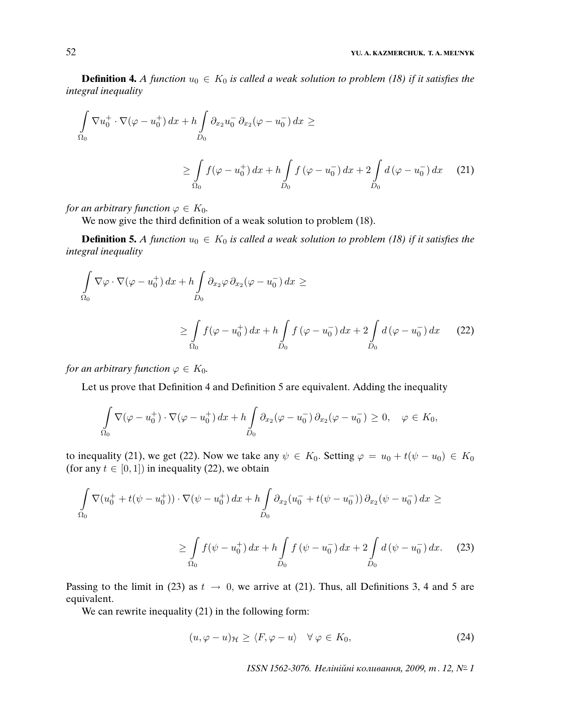**Definition 4.** A function  $u_0 \in K_0$  is called a weak solution to problem (18) if it satisfies the integral inequality

$$
\int_{\Omega_0} \nabla u_0^+ \cdot \nabla (\varphi - u_0^+) dx + h \int_{D_0} \partial_{x_2} u_0^- \partial_{x_2} (\varphi - u_0^-) dx \ge
$$
\n
$$
\ge \int_{\Omega_0} f(\varphi - u_0^+) dx + h \int_{D_0} f(\varphi - u_0^-) dx + 2 \int_{D_0} d(\varphi - u_0^-) dx \qquad (21)
$$

for an arbitrary function  $\varphi \in K_0$ .

We now give the third definition of a weak solution to problem  $(18)$ .

**Definition 5.** A function  $u_0 \in K_0$  is called a weak solution to problem (18) if it satisfies the integral inequality

$$
\int_{\Omega_0} \nabla \varphi \cdot \nabla (\varphi - u_0^+) dx + h \int_{D_0} \partial_{x_2} \varphi \, \partial_{x_2} (\varphi - u_0^-) dx \ge
$$
\n
$$
\ge \int_{\Omega_0} f(\varphi - u_0^+) dx + h \int_{D_0} f(\varphi - u_0^-) dx + 2 \int_{D_0} d(\varphi - u_0^-) dx \qquad (22)
$$

for an arbitrary function  $\varphi \in K_0$ .

Let us prove that Definition 4 and Definition 5 are equivalent. Adding the inequality

$$
\int\limits_{\Omega_0} \nabla (\varphi - u_0^+) \cdot \nabla (\varphi - u_0^+) dx + h \int\limits_{D_0} \partial_{x_2} (\varphi - u_0^-) \partial_{x_2} (\varphi - u_0^-) \ge 0, \quad \varphi \in K_0,
$$

to inequality (21), we get (22). Now we take any  $\psi \in K_0$ . Setting  $\varphi = u_0 + t(\psi - u_0) \in K_0$ (for any  $t \in [0, 1]$ ) in inequality (22), we obtain

$$
\int_{\Omega_0} \nabla (u_0^+ + t(\psi - u_0^+)) \cdot \nabla (\psi - u_0^+) dx + h \int_{D_0} \partial_{x_2} (u_0^- + t(\psi - u_0^-)) \partial_{x_2} (\psi - u_0^-) dx \ge
$$
\n
$$
\ge \int_{\Omega_0} f(\psi - u_0^+) dx + h \int_{D_0} f(\psi - u_0^-) dx + 2 \int_{D_0} d(\psi - u_0^-) dx. \tag{23}
$$

Passing to the limit in (23) as  $t \to 0$ , we arrive at (21). Thus, all Definitions 3, 4 and 5 are equivalent.

We can rewrite inequality  $(21)$  in the following form:

$$
(u, \varphi - u)_{\mathcal{H}} \ge \langle F, \varphi - u \rangle \quad \forall \varphi \in K_0,
$$
\n
$$
(24)
$$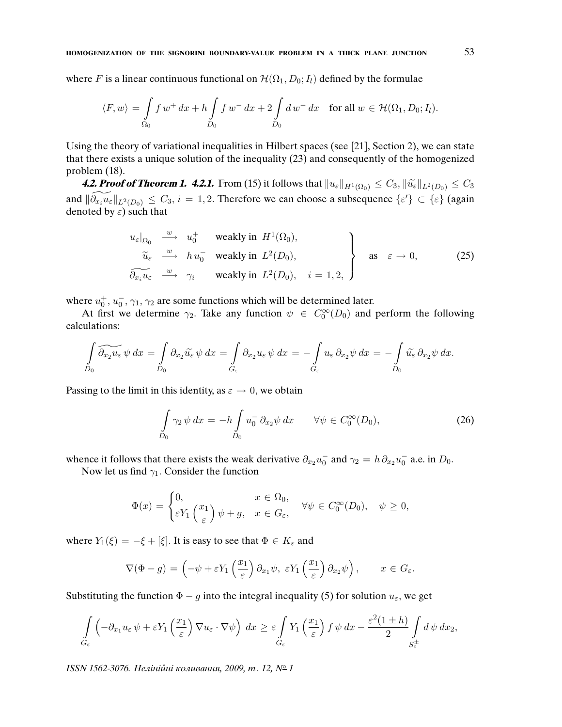where F is a linear continuous functional on  $\mathcal{H}(\Omega_1, D_0; I_l)$  defined by the formulae

$$
\langle F, w \rangle = \int\limits_{\Omega_0} f w^+ dx + h \int\limits_{D_0} f w^- dx + 2 \int\limits_{D_0} dw^- dx \quad \text{for all } w \in \mathcal{H}(\Omega_1, D_0; I_l).
$$

Using the theory of variational inequalities in Hilbert spaces (see [21], Section 2), we can state that there exists a unique solution of the inequality (23) and consequently of the homogenized problem (18).

**4.2. Proof of Theorem 1. 4.2.1.** From (15) it follows that  $||u_{\varepsilon}||_{H^1(\Omega_0)} \leq C_3$ ,  $||\widetilde{u}_{\varepsilon}||_{L^2(D_0)} \leq C_3$ and  $\|\widetilde{\partial_{x_i}u_{\varepsilon}}\|_{L^2(D_0)} \leq C_3$ ,  $i = 1, 2$ . Therefore we can choose a subsequence  $\{\varepsilon'\}\subset \{\varepsilon\}$  (again denoted by  $\varepsilon$ ) such that

$$
u_{\varepsilon}|_{\Omega_0} \xrightarrow{w} u_0^+ \quad \text{weakly in } H^1(\Omega_0),
$$
  
\n
$$
\widetilde{u}_{\varepsilon} \xrightarrow{w} h u_0^- \quad \text{weakly in } L^2(D_0),
$$
  
\n
$$
\widetilde{\partial_{x_i} u_{\varepsilon}} \xrightarrow{w} \gamma_i \quad \text{weakly in } L^2(D_0), \quad i = 1, 2,
$$
\n
$$
\left.\begin{matrix}\n\text{as } \varepsilon \to 0, \\
\text{as } \varepsilon \to 0, \\
\text{weakly in } L^2(D_0), \quad i = 1, 2,\n\end{matrix}\right\} \quad \text{as } \varepsilon \to 0,
$$
\n
$$
(25)
$$

where  $u_0^+, u_0^-, \gamma_1, \gamma_2$  are some functions which will be determined later.

At first we determine  $\gamma_2$ . Take any function  $\psi \in C_0^{\infty}(D_0)$  and perform the following calculations:

$$
\int_{D_0} \widetilde{\partial_{x_2} u_{\varepsilon}} \psi \, dx = \int_{D_0} \partial_{x_2} \widetilde{u_{\varepsilon}} \psi \, dx = \int_{G_{\varepsilon}} \partial_{x_2} u_{\varepsilon} \psi \, dx = -\int_{G_{\varepsilon}} u_{\varepsilon} \partial_{x_2} \psi \, dx = -\int_{D_0} \widetilde{u_{\varepsilon}} \partial_{x_2} \psi \, dx.
$$

Passing to the limit in this identity, as  $\varepsilon \to 0$ , we obtain

$$
\int_{D_0} \gamma_2 \psi \, dx = -h \int_{D_0} u_0^- \, \partial_{x_2} \psi \, dx \qquad \forall \psi \in C_0^{\infty}(D_0), \tag{26}
$$

whence it follows that there exists the weak derivative  $\partial_{x_2}u_0^-$  and  $\gamma_2 = h \partial_{x_2}u_0^-$  a.e. in  $D_0$ .

Now let us find  $\gamma_1$ . Consider the function

$$
\Phi(x) = \begin{cases} 0, & x \in \Omega_0, \\ \varepsilon Y_1 \left(\frac{x_1}{\varepsilon}\right) \psi + g, & x \in G_{\varepsilon}, \end{cases} \quad \forall \psi \in C_0^{\infty}(D_0), \quad \psi \ge 0,
$$

where  $Y_1(\xi) = -\xi + [\xi]$ . It is easy to see that  $\Phi \in K_{\varepsilon}$  and

$$
\nabla(\Phi - g) = \left(-\psi + \varepsilon Y_1\left(\frac{x_1}{\varepsilon}\right)\partial_{x_1}\psi, \ \varepsilon Y_1\left(\frac{x_1}{\varepsilon}\right)\partial_{x_2}\psi\right), \qquad x \in G_{\varepsilon}.
$$

Substituting the function  $\Phi - g$  into the integral inequality (5) for solution  $u_{\varepsilon}$ , we get

$$
\int\limits_{G_{\varepsilon}} \left( -\partial_{x_1} u_{\varepsilon} \, \psi + \varepsilon Y_1 \left( \frac{x_1}{\varepsilon} \right) \nabla u_{\varepsilon} \cdot \nabla \psi \right) \, dx \geq \varepsilon \int\limits_{G_{\varepsilon}} Y_1 \left( \frac{x_1}{\varepsilon} \right) f \, \psi \, dx - \frac{\varepsilon^2 (1 \pm h)}{2} \int\limits_{S_{\varepsilon}^{\pm}} d \, \psi \, dx_2,
$$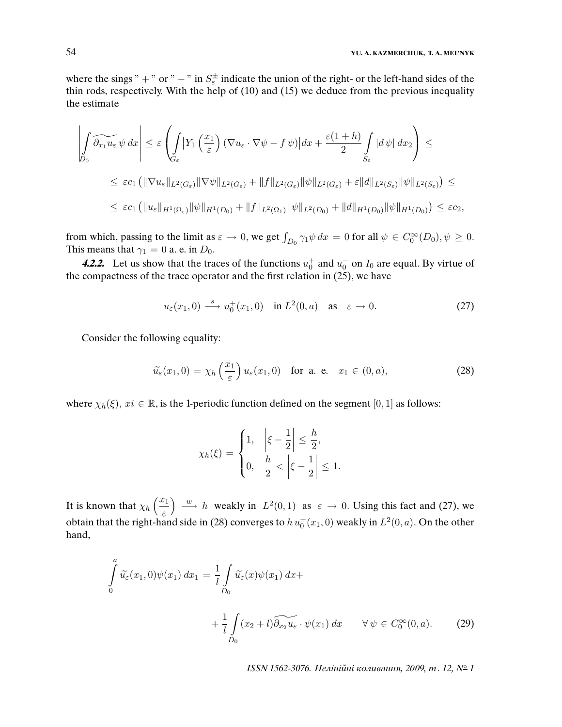where the sings " + " or " – " in  $S_{\varepsilon}^{\pm}$  indicate the union of the right- or the left-hand sides of the thin rods, respectively. With the help of (10) and (15) we deduce from the previous inequality the estimate

$$
\left| \int_{D_0} \widetilde{\partial_{x_1} u_{\varepsilon}} \psi \, dx \right| \leq \varepsilon \left( \int_{G_{\varepsilon}} \left| Y_1 \left( \frac{x_1}{\varepsilon} \right) (\nabla u_{\varepsilon} \cdot \nabla \psi - f \psi) \right| dx + \frac{\varepsilon (1+h)}{2} \int_{S_{\varepsilon}} |d \psi| \, dx_2 \right) \leq
$$
\n
$$
\leq \varepsilon c_1 \left( \|\nabla u_{\varepsilon}\|_{L^2(G_{\varepsilon})} \|\nabla \psi\|_{L^2(G_{\varepsilon})} + \|f\|_{L^2(G_{\varepsilon})} \|\psi\|_{L^2(G_{\varepsilon})} + \varepsilon \|d\|_{L^2(S_{\varepsilon})} \|\psi\|_{L^2(S_{\varepsilon})} \right) \leq
$$
\n
$$
\leq \varepsilon c_1 \left( \|u_{\varepsilon}\|_{H^1(\Omega_{\varepsilon})} \|\psi\|_{H^1(D_0)} + \|f\|_{L^2(\Omega_1)} \|\psi\|_{L^2(D_0)} + \|d\|_{H^1(D_0)} \|\psi\|_{H^1(D_0)} \right) \leq \varepsilon c_2,
$$

from which, passing to the limit as  $\varepsilon \to 0$ , we get  $\int_{D_0} \gamma_1 \psi dx = 0$  for all  $\psi \in C_0^{\infty}(D_0), \psi \ge 0$ . This means that  $\gamma_1 = 0$  a. e. in  $D_0$ .

**4.2.2.** Let us show that the traces of the functions  $u_0^+$  and  $u_0^-$  on  $I_0$  are equal. By virtue of the compactness of the trace operator and the first relation in (25), we have

$$
u_{\varepsilon}(x_1,0) \xrightarrow{s} u_0^+(x_1,0) \quad \text{in } L^2(0,a) \quad \text{as } \varepsilon \to 0. \tag{27}
$$

Consider the following equality:

$$
\widetilde{u}_{\varepsilon}(x_1,0) = \chi_h\left(\frac{x_1}{\varepsilon}\right)u_{\varepsilon}(x_1,0) \quad \text{for a. e. } x_1 \in (0,a), \tag{28}
$$

where  $\chi_h(\xi)$ ,  $xi \in \mathbb{R}$ , is the 1-periodic function defined on the segment [0, 1] as follows:

$$
\chi_h(\xi) = \begin{cases} 1, & \left|\xi - \frac{1}{2}\right| \leq \frac{h}{2}, \\ 0, & \frac{h}{2} < \left|\xi - \frac{1}{2}\right| \leq 1. \end{cases}
$$

It is known that  $\chi_h\left(\frac{x_1}{x_2}\right)$ ε  $\frac{w}{w}$  h weakly in  $L^2(0,1)$  as  $\varepsilon \to 0$ . Using this fact and (27), we obtain that the right-hand side in (28) converges to  $h u_0^+(x_1,0)$  weakly in  $L^2(0,a)$ . On the other hand,

$$
\int_{0}^{a} \widetilde{u}_{\varepsilon}(x_{1},0)\psi(x_{1}) dx_{1} = \frac{1}{l} \int_{D_{0}} \widetilde{u}_{\varepsilon}(x)\psi(x_{1}) dx + \frac{1}{l} \int_{D_{0}} (x_{2}+l)\widetilde{\partial_{x_{2}} u_{\varepsilon}} \cdot \psi(x_{1}) dx \qquad \forall \psi \in C_{0}^{\infty}(0,a).
$$
 (29)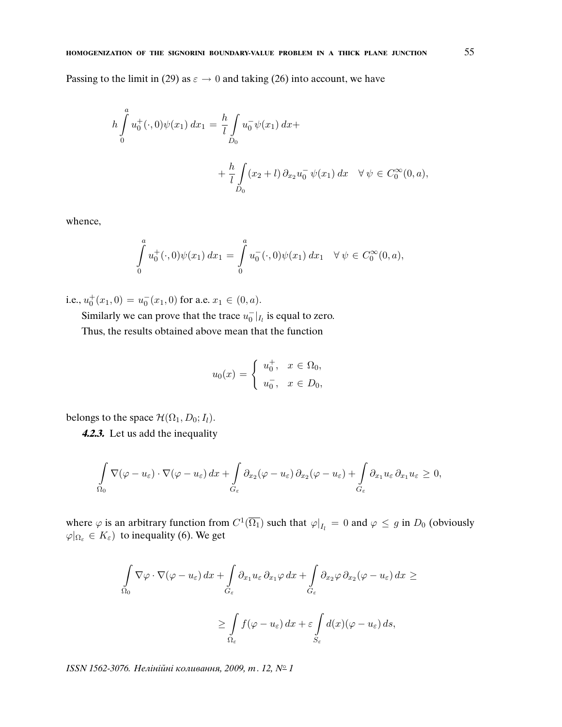Passing to the limit in (29) as  $\varepsilon \to 0$  and taking (26) into account, we have

$$
h \int_{0}^{a} u_{0}^{+}(\cdot, 0) \psi(x_{1}) dx_{1} = \frac{h}{l} \int_{D_{0}} u_{0}^{-} \psi(x_{1}) dx +
$$
  
+ 
$$
\frac{h}{l} \int_{D_{0}} (x_{2} + l) \partial_{x_{2}} u_{0}^{-} \psi(x_{1}) dx \quad \forall \psi \in C_{0}^{\infty}(0, a),
$$

whence,

$$
\int_{0}^{a} u_{0}^{+}(\cdot,0)\psi(x_{1}) dx_{1} = \int_{0}^{a} u_{0}^{-}(\cdot,0)\psi(x_{1}) dx_{1} \quad \forall \psi \in C_{0}^{\infty}(0,a),
$$

i.e.,  $u_0^+(x_1, 0) = u_0^-(x_1, 0)$  for a.e.  $x_1 \in (0, a)$ .

Similarly we can prove that the trace  $u_0^-|_{I_l}$  is equal to zero.

Thus, the results obtained above mean that the function

$$
u_0(x) = \begin{cases} u_0^+, & x \in \Omega_0, \\ u_0^-, & x \in D_0, \end{cases}
$$

belongs to the space  $\mathcal{H}(\Omega_1, D_0; I_l)$ .

**4.2.3.** Let us add the inequality

$$
\int_{\Omega_0} \nabla (\varphi - u_\varepsilon) \cdot \nabla (\varphi - u_\varepsilon) \, dx + \int_{G_\varepsilon} \partial_{x_2} (\varphi - u_\varepsilon) \, \partial_{x_2} (\varphi - u_\varepsilon) + \int_{G_\varepsilon} \partial_{x_1} u_\varepsilon \, \partial_{x_1} u_\varepsilon \geq 0,
$$

where  $\varphi$  is an arbitrary function from  $C^1(\overline{\Omega_1})$  such that  $\varphi|_{I_l} = 0$  and  $\varphi \le g$  in  $D_0$  (obviously  $\varphi|_{\Omega_{\varepsilon}} \in K_{\varepsilon}$ ) to inequality (6). We get

$$
\int_{\Omega_0} \nabla \varphi \cdot \nabla (\varphi - u_{\varepsilon}) \, dx + \int_{G_{\varepsilon}} \partial_{x_1} u_{\varepsilon} \, \partial_{x_1} \varphi \, dx + \int_{G_{\varepsilon}} \partial_{x_2} \varphi \, \partial_{x_2} (\varphi - u_{\varepsilon}) \, dx \ge
$$
\n
$$
\ge \int_{\Omega_{\varepsilon}} f(\varphi - u_{\varepsilon}) \, dx + \varepsilon \int_{S_{\varepsilon}} d(x) (\varphi - u_{\varepsilon}) \, ds,
$$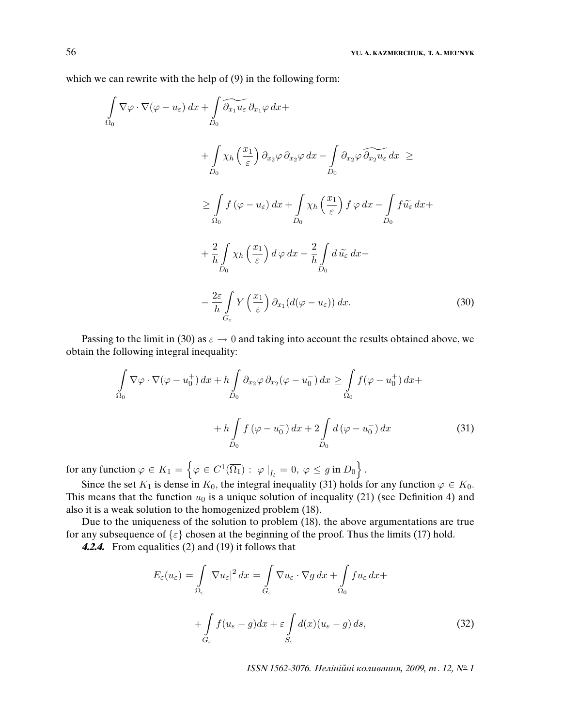which we can rewrite with the help of  $(9)$  in the following form:

$$
\int_{\Omega_{0}} \nabla \varphi \cdot \nabla (\varphi - u_{\varepsilon}) dx + \int_{D_{0}} \widetilde{\partial_{x_{1}}} u_{\varepsilon} \partial_{x_{1}} \varphi dx +
$$
\n
$$
+ \int_{D_{0}} \chi_{h} \left( \frac{x_{1}}{\varepsilon} \right) \partial_{x_{2}} \varphi \partial_{x_{2}} \varphi dx - \int_{D_{0}} \partial_{x_{2}} \widetilde{\partial_{x_{2}}} u_{\varepsilon} dx \ge
$$
\n
$$
\geq \int_{\Omega_{0}} f (\varphi - u_{\varepsilon}) dx + \int_{D_{0}} \chi_{h} \left( \frac{x_{1}}{\varepsilon} \right) f \varphi dx - \int_{D_{0}} f \widetilde{u_{\varepsilon}} dx +
$$
\n
$$
+ \frac{2}{h} \int_{D_{0}} \chi_{h} \left( \frac{x_{1}}{\varepsilon} \right) d \varphi dx - \frac{2}{h} \int_{D_{0}} d \widetilde{u_{\varepsilon}} dx -
$$
\n
$$
- \frac{2\varepsilon}{h} \int_{G_{\varepsilon}} Y \left( \frac{x_{1}}{\varepsilon} \right) \partial_{x_{1}} (d(\varphi - u_{\varepsilon})) dx. \tag{30}
$$

Passing to the limit in (30) as  $\varepsilon \to 0$  and taking into account the results obtained above, we obtain the following integral inequality:

$$
\int_{\Omega_0} \nabla \varphi \cdot \nabla (\varphi - u_0^+) dx + h \int_{D_0} \partial_{x_2} \varphi \, \partial_{x_2} (\varphi - u_0^-) dx \ge \int_{\Omega_0} f(\varphi - u_0^+) dx + h \int_{D_0} f(\varphi - u_0^-) dx + 2 \int_{D_0} d(\varphi - u_0^-) dx \tag{31}
$$

for any function  $\varphi \in K_1=\left\{\varphi \in C^1(\overline{\Omega_1}) : \ \varphi \mid_{I_l}=0, \ \varphi \leq g \text{ in } D_0\right\}.$ 

Since the set  $K_1$  is dense in  $K_0$ , the integral inequality (31) holds for any function  $\varphi \in K_0$ . This means that the function  $u_0$  is a unique solution of inequality (21) (see Definition 4) and also it is a weak solution to the homogenized problem (18).

Due to the uniqueness of the solution to problem (18), the above argumentations are true for any subsequence of  $\{\varepsilon\}$  chosen at the beginning of the proof. Thus the limits (17) hold.

**4.2.4.** From equalities (2) and (19) it follows that

$$
E_{\varepsilon}(u_{\varepsilon}) = \int_{\Omega_{\varepsilon}} |\nabla u_{\varepsilon}|^2 dx = \int_{G_{\varepsilon}} \nabla u_{\varepsilon} \cdot \nabla g dx + \int_{\Omega_{0}} f u_{\varepsilon} dx +
$$

$$
+ \int_{G_{\varepsilon}} f(u_{\varepsilon} - g) dx + \varepsilon \int_{S_{\varepsilon}} d(x) (u_{\varepsilon} - g) ds,
$$
(32)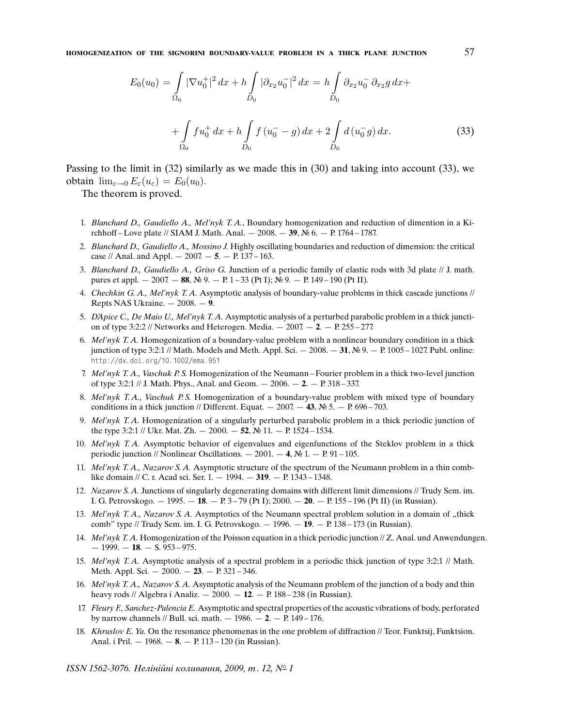**HOMOGENIZATION OF THE SIGNORINI BOUNDARY-VALUE PROBLEM IN A THICK PLANE JUNCTION** 57

$$
E_0(u_0) = \int_{\Omega_0} |\nabla u_0^+|^2 dx + h \int_{D_0} |\partial_{x_2} u_0^-|^2 dx = h \int_{D_0} \partial_{x_2} u_0^- \partial_{x_2} g dx +
$$
  
+ 
$$
\int_{\Omega_0} f u_0^+ dx + h \int_{D_0} f (u_0^- - g) dx + 2 \int_{D_0} d (u_0^- g) dx.
$$
 (33)

Passing to the limit in (32) similarly as we made this in (30) and taking into account (33), we obtain  $\lim_{\varepsilon \to 0} E_{\varepsilon}(u_{\varepsilon}) = E_0(u_0)$ .

The theorem is proved.

- 1. Blanchard D., Gaudiello A., Mel'nyk T. A., Boundary homogenization and reduction of dimention in a Kirchhoff –Love plate // SIAM J. Math. Anal. — 2008. — **39**, № 6. — P. 1764 – 1787.
- 2. Blanchard D., Gaudiello A., Mossino J. Highly oscillating boundaries and reduction of dimension: the critical case // Anal. and Appl.  $- 2007 - 5 = P. 137 - 163$ .
- 3. Blanchard D., Gaudiello A., Griso G. Junction of a periodic family of elastic rods with 3d plate // J. math. pures et appl. — 2007. — **88**, № 9. — P. 1 – 33 (Pt I); № 9. — P. 149 – 190 (Pt II).
- 4. Chechkin G. A., Mel'nyk T. A. Asymptotic analysis of boundary-value problems in thick cascade junctions // Repts NAS Ukraine. — 2008. — **9**.
- 5. D'Apice C., De Maio U., Mel'nyk T. A. Asymptotic analysis of a perturbed parabolic problem in a thick junction of type 3:2:2 // Networks and Heterogen. Media. — 2007. — **2**. — P. 255 – 277.
- 6. Mel'nyk T. A. Homogenization of a boundary-value problem with a nonlinear boundary condition in a thick junction of type 3:2:1 // Math. Models and Meth. Appl. Sci. — 2008. — **31**, № 9. — P. 1005 – 1027. Publ. online: http://dx.doi.org/10.1002/mma.951
- 7. Mel'nyk T. A., Vaschuk P. S. Homogenization of the Neumann Fourier problem in a thick two-level junction of type 3:2:1 // J. Math. Phys., Anal. and Geom. — 2006. — **2**. — P. 318 – 337.
- 8. Mel'nyk T. A., Vaschuk P. S. Homogenization of a boundary-value problem with mixed type of boundary conditions in a thick junction // Different. Equat.  $-2007 - 43$ , No 5.  $-$  P. 696 – 703.
- 9. Mel'nyk T. A. Homogenization of a singularly perturbed parabolic problem in a thick periodic junction of the type 3:2:1 // Ukr. Mat. Zh. — 2000. — **52**, № 11. — P. 1524 – 1534.
- 10. Mel'nyk T. A. Asymptotic behavior of eigenvalues and eigenfunctions of the Steklov problem in a thick periodic junction // Nonlinear Oscillations. — 2001. — **4**, № 1. — P. 91 – 105.
- 11. Mel'nyk T. A., Nazarov S. A. Asymptotic structure of the spectrum of the Neumann problem in a thin comblike domain // C. r. Acad sci. Ser. 1. — 1994. — **319**. — P. 1343 – 1348.
- 12. Nazarov S. A. Junctions of singularly degenerating domains with different limit dimensions // Trudy Sem. im. I. G. Petrovskogo. — 1995. — **18**. — P. 3 – 79 (Pt I); 2000. — **20**. — P. 155 – 196 (Pt II) (in Russian).
- 13. Mel'nyk T. A., Nazarov S. A. Asymptotics of the Neumann spectral problem solution in a domain of "thick comb" type // Trudy Sem. im. I. G. Petrovskogo. — 1996. — **19**. — P. 138 – 173 (in Russian).
- 14. Mel'nyk T. A. Homogenization of the Poisson equation in a thick periodic junction // Z. Anal. und Anwendungen. — 1999. — **18**. — S. 953 – 975.
- 15. Mel'nyk T. A. Asymptotic analysis of a spectral problem in a periodic thick junction of type 3:2:1 // Math. Meth. Appl. Sci. — 2000. — **23**. — P. 321 – 346.
- 16. Mel'nyk T. A., Nazarov S. A. Asymptotic analysis of the Neumann problem of the junction of a body and thin heavy rods // Algebra i Analiz. — 2000. — **12**. — P. 188 – 238 (in Russian).
- 17. Fleury F., Sanchez-Palencia E. Asymptotic and spectral properties of the acoustic vibrations of body, perforated by narrow channels // Bull. sci. math. — 1986. — **2**. — P. 149 – 176.
- 18. Khruslov E. Ya. On the resonance phenomenas in the one problem of diffraction // Teor. Funktsij, Funktsion. Anal. i Pril. — 1968. — **8**. — P. 113 – 120 (in Russian).